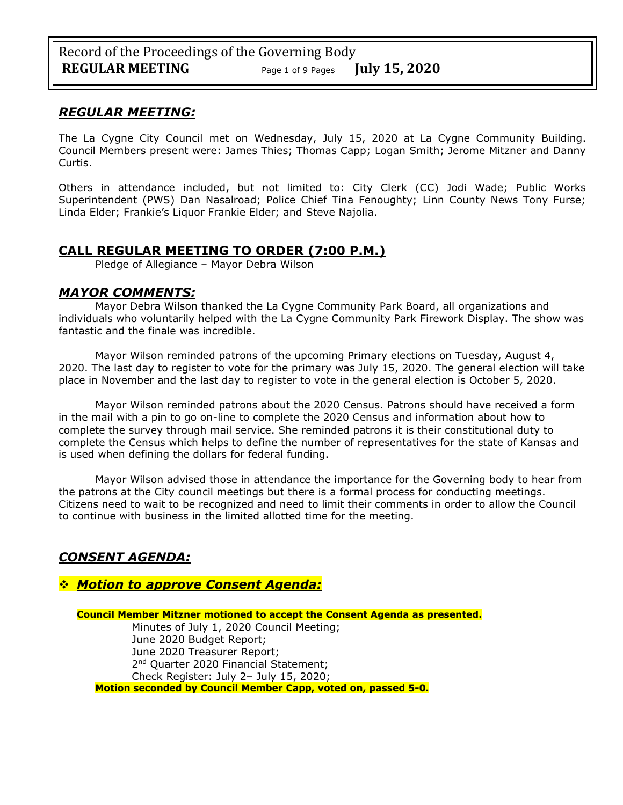### *REGULAR MEETING:*

The La Cygne City Council met on Wednesday, July 15, 2020 at La Cygne Community Building. Council Members present were: James Thies; Thomas Capp; Logan Smith; Jerome Mitzner and Danny Curtis.

Others in attendance included, but not limited to: City Clerk (CC) Jodi Wade; Public Works Superintendent (PWS) Dan Nasalroad; Police Chief Tina Fenoughty; Linn County News Tony Furse; Linda Elder; Frankie's Liquor Frankie Elder; and Steve Najolia.

## **CALL REGULAR MEETING TO ORDER (7:00 P.M.)**

Pledge of Allegiance – Mayor Debra Wilson

### *MAYOR COMMENTS:*

Mayor Debra Wilson thanked the La Cygne Community Park Board, all organizations and individuals who voluntarily helped with the La Cygne Community Park Firework Display. The show was fantastic and the finale was incredible.

Mayor Wilson reminded patrons of the upcoming Primary elections on Tuesday, August 4, 2020. The last day to register to vote for the primary was July 15, 2020. The general election will take place in November and the last day to register to vote in the general election is October 5, 2020.

Mayor Wilson reminded patrons about the 2020 Census. Patrons should have received a form in the mail with a pin to go on-line to complete the 2020 Census and information about how to complete the survey through mail service. She reminded patrons it is their constitutional duty to complete the Census which helps to define the number of representatives for the state of Kansas and is used when defining the dollars for federal funding.

Mayor Wilson advised those in attendance the importance for the Governing body to hear from the patrons at the City council meetings but there is a formal process for conducting meetings. Citizens need to wait to be recognized and need to limit their comments in order to allow the Council to continue with business in the limited allotted time for the meeting.

# *CONSENT AGENDA:*

## ❖ *Motion to approve Consent Agenda:*

**Council Member Mitzner motioned to accept the Consent Agenda as presented.** Minutes of July 1, 2020 Council Meeting; June 2020 Budget Report; June 2020 Treasurer Report; 2<sup>nd</sup> Quarter 2020 Financial Statement; Check Register: July 2– July 15, 2020; **Motion seconded by Council Member Capp, voted on, passed 5-0.**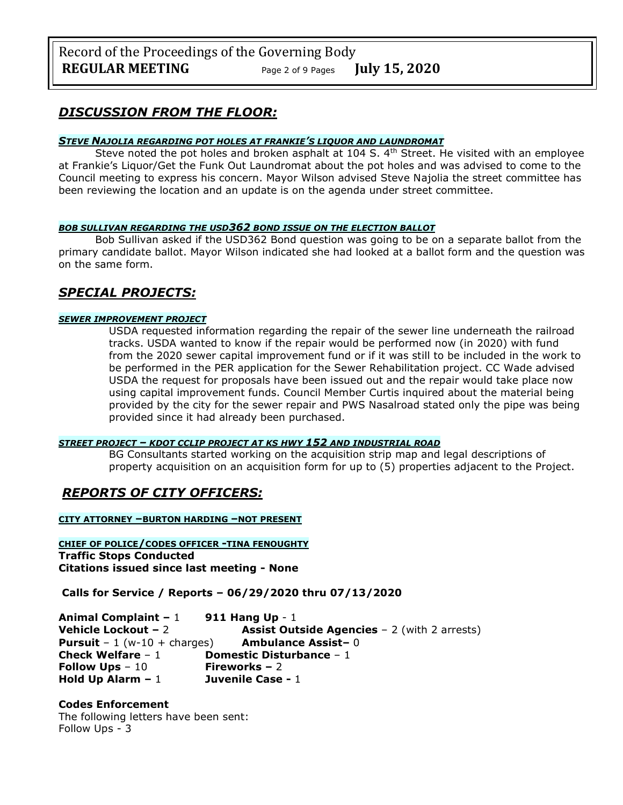## *DISCUSSION FROM THE FLOOR:*

#### *STEVE NAJOLIA REGARDING POT HOLES AT FRANKIE'S LIQUOR AND LAUNDROMAT*

Steve noted the pot holes and broken asphalt at 104 S.  $4<sup>th</sup>$  Street. He visited with an employee at Frankie's Liquor/Get the Funk Out Laundromat about the pot holes and was advised to come to the Council meeting to express his concern. Mayor Wilson advised Steve Najolia the street committee has been reviewing the location and an update is on the agenda under street committee.

#### *BOB SULLIVAN REGARDING THE USD362 BOND ISSUE ON THE ELECTION BALLOT*

Bob Sullivan asked if the USD362 Bond question was going to be on a separate ballot from the primary candidate ballot. Mayor Wilson indicated she had looked at a ballot form and the question was on the same form.

## *SPECIAL PROJECTS:*

### *SEWER IMPROVEMENT PROJECT*

USDA requested information regarding the repair of the sewer line underneath the railroad tracks. USDA wanted to know if the repair would be performed now (in 2020) with fund from the 2020 sewer capital improvement fund or if it was still to be included in the work to be performed in the PER application for the Sewer Rehabilitation project. CC Wade advised USDA the request for proposals have been issued out and the repair would take place now using capital improvement funds. Council Member Curtis inquired about the material being provided by the city for the sewer repair and PWS Nasalroad stated only the pipe was being provided since it had already been purchased.

#### *STREET PROJECT – KDOT CCLIP PROJECT AT KS HWY 152 AND INDUSTRIAL ROAD*

BG Consultants started working on the acquisition strip map and legal descriptions of property acquisition on an acquisition form for up to (5) properties adjacent to the Project.

# *REPORTS OF CITY OFFICERS:*

**CITY ATTORNEY –BURTON HARDING –NOT PRESENT**

**CHIEF OF POLICE/CODES OFFICER -TINA FENOUGHTY Traffic Stops Conducted Citations issued since last meeting - None**

**Calls for Service / Reports – 06/29/2020 thru 07/13/2020**

**Animal Complaint –** 1 **911 Hang Up** - 1 **Vehicle Lockout – 2 Assist Outside Agencies – 2** (with 2 arrests) **Pursuit** – 1 (w-10 + charges) **Ambulance Assist–** 0 **Check Welfare** – 1 **Domestic Disturbance** – 1 **Follow Ups** – 10 **Fireworks –** 2 **Hold Up Alarm –** 1 **Juvenile Case -** 1

### **Codes Enforcement**

The following letters have been sent: Follow Ups - 3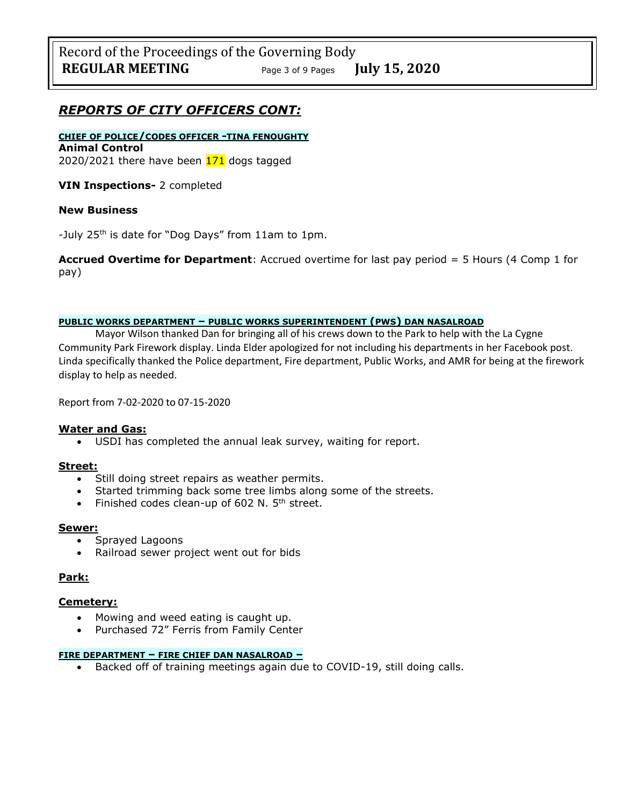## *REPORTS OF CITY OFFICERS CONT:*

#### **CHIEF OF POLICE/CODES OFFICER -TINA FENOUGHTY Animal Control** 2020/2021 there have been  $171$  dogs tagged

**VIN Inspections-** 2 completed

#### **New Business**

-July 25<sup>th</sup> is date for "Dog Days" from 11am to 1pm.

**Accrued Overtime for Department**: Accrued overtime for last pay period = 5 Hours (4 Comp 1 for pay)

#### **PUBLIC WORKS DEPARTMENT – PUBLIC WORKS SUPERINTENDENT (PWS) DAN NASALROAD**

Mayor Wilson thanked Dan for bringing all of his crews down to the Park to help with the La Cygne Community Park Firework display. Linda Elder apologized for not including his departments in her Facebook post. Linda specifically thanked the Police department, Fire department, Public Works, and AMR for being at the firework display to help as needed.

Report from 7-02-2020 to 07-15-2020

#### **Water and Gas:**

• USDI has completed the annual leak survey, waiting for report.

#### **Street:**

- Still doing street repairs as weather permits.
- Started trimming back some tree limbs along some of the streets.
- Finished codes clean-up of  $602$  N.  $5<sup>th</sup>$  street.

#### **Sewer:**

- Sprayed Lagoons
- Railroad sewer project went out for bids

#### **Park:**

#### **Cemetery:**

- Mowing and weed eating is caught up.
- Purchased 72" Ferris from Family Center

#### **FIRE DEPARTMENT – FIRE CHIEF DAN NASALROAD –**

• Backed off of training meetings again due to COVID-19, still doing calls.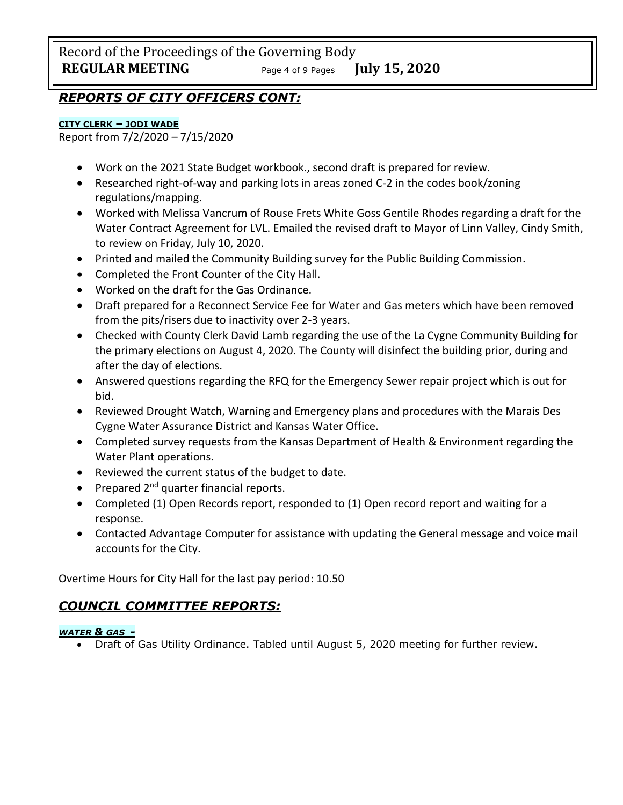Record of the Proceedings of the Governing Body **REGULAR MEETING** Page <sup>4</sup> of 9 Pages **July 15, 2020**

## *REPORTS OF CITY OFFICERS CONT:*

### **CITY CLERK – JODI WADE**

Report from 7/2/2020 – 7/15/2020

- Work on the 2021 State Budget workbook., second draft is prepared for review.
- Researched right-of-way and parking lots in areas zoned C-2 in the codes book/zoning regulations/mapping.
- Worked with Melissa Vancrum of Rouse Frets White Goss Gentile Rhodes regarding a draft for the Water Contract Agreement for LVL. Emailed the revised draft to Mayor of Linn Valley, Cindy Smith, to review on Friday, July 10, 2020.
- Printed and mailed the Community Building survey for the Public Building Commission.
- Completed the Front Counter of the City Hall.
- Worked on the draft for the Gas Ordinance.
- Draft prepared for a Reconnect Service Fee for Water and Gas meters which have been removed from the pits/risers due to inactivity over 2-3 years.
- Checked with County Clerk David Lamb regarding the use of the La Cygne Community Building for the primary elections on August 4, 2020. The County will disinfect the building prior, during and after the day of elections.
- Answered questions regarding the RFQ for the Emergency Sewer repair project which is out for bid.
- Reviewed Drought Watch, Warning and Emergency plans and procedures with the Marais Des Cygne Water Assurance District and Kansas Water Office.
- Completed survey requests from the Kansas Department of Health & Environment regarding the Water Plant operations.
- Reviewed the current status of the budget to date.
- Prepared  $2^{nd}$  quarter financial reports.
- Completed (1) Open Records report, responded to (1) Open record report and waiting for a response.
- Contacted Advantage Computer for assistance with updating the General message and voice mail accounts for the City.

Overtime Hours for City Hall for the last pay period: 10.50

# *COUNCIL COMMITTEE REPORTS:*

### *WATER & GAS -*

• Draft of Gas Utility Ordinance. Tabled until August 5, 2020 meeting for further review.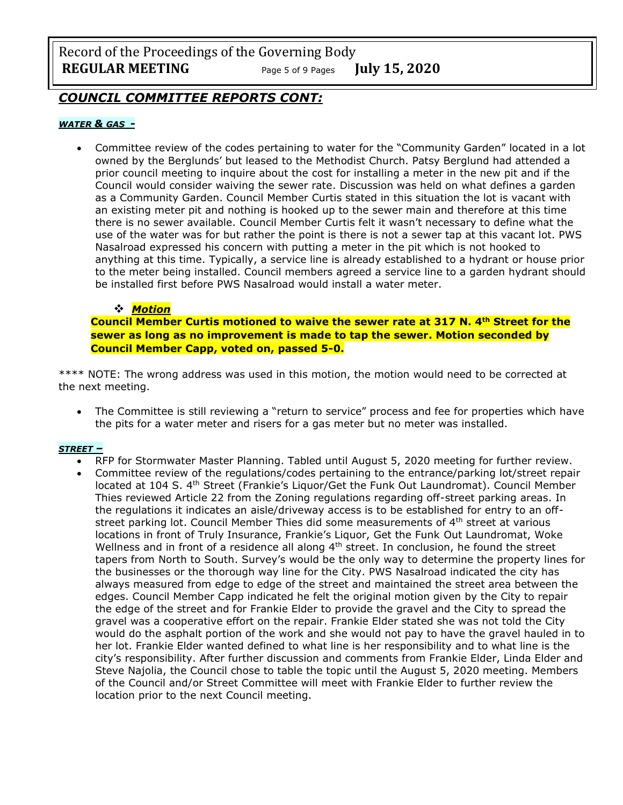Record of the Proceedings of the Governing Body **REGULAR MEETING** Page <sup>5</sup> of 9 Pages **July 15, 2020**

## *COUNCIL COMMITTEE REPORTS CONT:*

#### *WATER & GAS -*

• Committee review of the codes pertaining to water for the "Community Garden" located in a lot owned by the Berglunds' but leased to the Methodist Church. Patsy Berglund had attended a prior council meeting to inquire about the cost for installing a meter in the new pit and if the Council would consider waiving the sewer rate. Discussion was held on what defines a garden as a Community Garden. Council Member Curtis stated in this situation the lot is vacant with an existing meter pit and nothing is hooked up to the sewer main and therefore at this time there is no sewer available. Council Member Curtis felt it wasn't necessary to define what the use of the water was for but rather the point is there is not a sewer tap at this vacant lot. PWS Nasalroad expressed his concern with putting a meter in the pit which is not hooked to anything at this time. Typically, a service line is already established to a hydrant or house prior to the meter being installed. Council members agreed a service line to a garden hydrant should be installed first before PWS Nasalroad would install a water meter.

### ❖ *Motion*

**Council Member Curtis motioned to waive the sewer rate at 317 N. 4th Street for the sewer as long as no improvement is made to tap the sewer. Motion seconded by Council Member Capp, voted on, passed 5-0.** 

\*\*\*\* NOTE: The wrong address was used in this motion, the motion would need to be corrected at the next meeting.

• The Committee is still reviewing a "return to service" process and fee for properties which have the pits for a water meter and risers for a gas meter but no meter was installed.

#### *STREET –*

- RFP for Stormwater Master Planning. Tabled until August 5, 2020 meeting for further review.
- Committee review of the regulations/codes pertaining to the entrance/parking lot/street repair located at 104 S. 4<sup>th</sup> Street (Frankie's Liquor/Get the Funk Out Laundromat). Council Member Thies reviewed Article 22 from the Zoning regulations regarding off-street parking areas. In the regulations it indicates an aisle/driveway access is to be established for entry to an offstreet parking lot. Council Member Thies did some measurements of  $4<sup>th</sup>$  street at various locations in front of Truly Insurance, Frankie's Liquor, Get the Funk Out Laundromat, Woke Wellness and in front of a residence all along  $4<sup>th</sup>$  street. In conclusion, he found the street tapers from North to South. Survey's would be the only way to determine the property lines for the businesses or the thorough way line for the City. PWS Nasalroad indicated the city has always measured from edge to edge of the street and maintained the street area between the edges. Council Member Capp indicated he felt the original motion given by the City to repair the edge of the street and for Frankie Elder to provide the gravel and the City to spread the gravel was a cooperative effort on the repair. Frankie Elder stated she was not told the City would do the asphalt portion of the work and she would not pay to have the gravel hauled in to her lot. Frankie Elder wanted defined to what line is her responsibility and to what line is the city's responsibility. After further discussion and comments from Frankie Elder, Linda Elder and Steve Najolia, the Council chose to table the topic until the August 5, 2020 meeting. Members of the Council and/or Street Committee will meet with Frankie Elder to further review the location prior to the next Council meeting.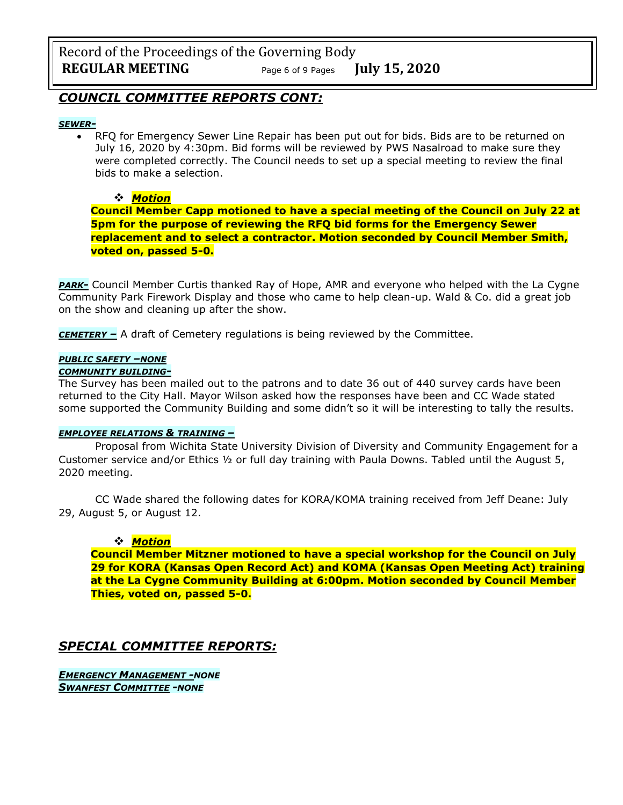Record of the Proceedings of the Governing Body **REGULAR MEETING** Page <sup>6</sup> of 9 Pages **July 15, 2020**

## *COUNCIL COMMITTEE REPORTS CONT:*

#### *SEWER-*

• RFQ for Emergency Sewer Line Repair has been put out for bids. Bids are to be returned on July 16, 2020 by 4:30pm. Bid forms will be reviewed by PWS Nasalroad to make sure they were completed correctly. The Council needs to set up a special meeting to review the final bids to make a selection.

#### ❖ *Motion*

**Council Member Capp motioned to have a special meeting of the Council on July 22 at 5pm for the purpose of reviewing the RFQ bid forms for the Emergency Sewer replacement and to select a contractor. Motion seconded by Council Member Smith, voted on, passed 5-0.** 

**PARK**- Council Member Curtis thanked Ray of Hope, AMR and everyone who helped with the La Cygne Community Park Firework Display and those who came to help clean-up. Wald & Co. did a great job on the show and cleaning up after the show.

*CEMETERY –* A draft of Cemetery regulations is being reviewed by the Committee.

#### *PUBLIC SAFETY –NONE*

#### *COMMUNITY BUILDING-*

The Survey has been mailed out to the patrons and to date 36 out of 440 survey cards have been returned to the City Hall. Mayor Wilson asked how the responses have been and CC Wade stated some supported the Community Building and some didn't so it will be interesting to tally the results.

#### *EMPLOYEE RELATIONS & TRAINING –*

Proposal from Wichita State University Division of Diversity and Community Engagement for a Customer service and/or Ethics ½ or full day training with Paula Downs. Tabled until the August 5, 2020 meeting.

CC Wade shared the following dates for KORA/KOMA training received from Jeff Deane: July 29, August 5, or August 12.

#### ❖ *Motion*

**Council Member Mitzner motioned to have a special workshop for the Council on July 29 for KORA (Kansas Open Record Act) and KOMA (Kansas Open Meeting Act) training at the La Cygne Community Building at 6:00pm. Motion seconded by Council Member Thies, voted on, passed 5-0.** 

## *SPECIAL COMMITTEE REPORTS:*

*EMERGENCY MANAGEMENT -NONE SWANFEST COMMITTEE -NONE*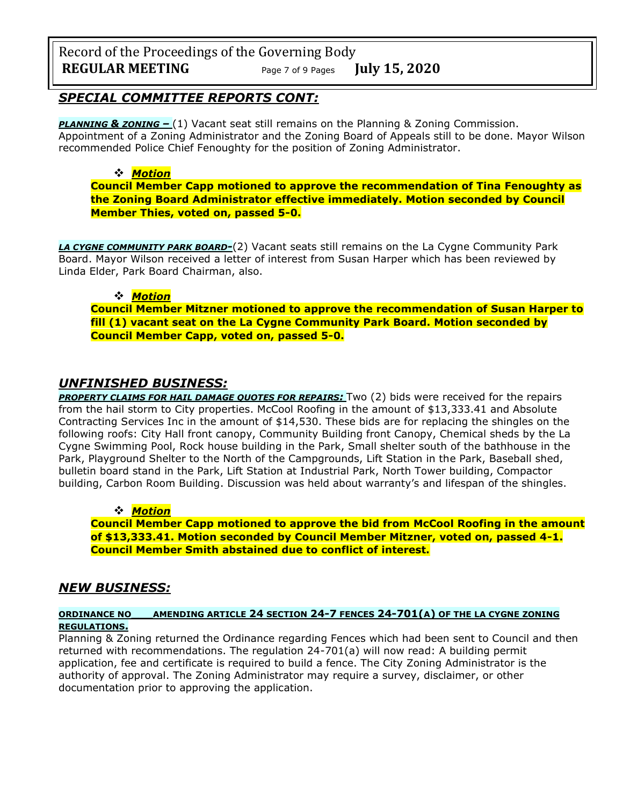Record of the Proceedings of the Governing Body **REGULAR MEETING** Page <sup>7</sup> of 9 Pages **July 15, 2020**

### *SPECIAL COMMITTEE REPORTS CONT:*

**PLANNING & ZONING –** (1) Vacant seat still remains on the Planning & Zoning Commission. Appointment of a Zoning Administrator and the Zoning Board of Appeals still to be done. Mayor Wilson recommended Police Chief Fenoughty for the position of Zoning Administrator.

### ❖ *Motion*

**Council Member Capp motioned to approve the recommendation of Tina Fenoughty as the Zoning Board Administrator effective immediately. Motion seconded by Council Member Thies, voted on, passed 5-0.** 

*LA CYGNE COMMUNITY PARK BOARD-*(2) Vacant seats still remains on the La Cygne Community Park Board. Mayor Wilson received a letter of interest from Susan Harper which has been reviewed by Linda Elder, Park Board Chairman, also.

### ❖ *Motion*

**Council Member Mitzner motioned to approve the recommendation of Susan Harper to fill (1) vacant seat on the La Cygne Community Park Board. Motion seconded by Council Member Capp, voted on, passed 5-0.** 

## *UNFINISHED BUSINESS:*

*PROPERTY CLAIMS FOR HAIL DAMAGE QUOTES FOR REPAIRS:* Two (2) bids were received for the repairs from the hail storm to City properties. McCool Roofing in the amount of \$13,333.41 and Absolute Contracting Services Inc in the amount of \$14,530. These bids are for replacing the shingles on the following roofs: City Hall front canopy, Community Building front Canopy, Chemical sheds by the La Cygne Swimming Pool, Rock house building in the Park, Small shelter south of the bathhouse in the Park, Playground Shelter to the North of the Campgrounds, Lift Station in the Park, Baseball shed, bulletin board stand in the Park, Lift Station at Industrial Park, North Tower building, Compactor building, Carbon Room Building. Discussion was held about warranty's and lifespan of the shingles.

### ❖ *Motion*

**Council Member Capp motioned to approve the bid from McCool Roofing in the amount of \$13,333.41. Motion seconded by Council Member Mitzner, voted on, passed 4-1. Council Member Smith abstained due to conflict of interest.**

## *NEW BUSINESS:*

### **ORDINANCE NO\_\_\_AMENDING ARTICLE 24 SECTION 24-7 FENCES 24-701(A) OF THE LA CYGNE ZONING REGULATIONS.**

Planning & Zoning returned the Ordinance regarding Fences which had been sent to Council and then returned with recommendations. The regulation 24-701(a) will now read: A building permit application, fee and certificate is required to build a fence. The City Zoning Administrator is the authority of approval. The Zoning Administrator may require a survey, disclaimer, or other documentation prior to approving the application.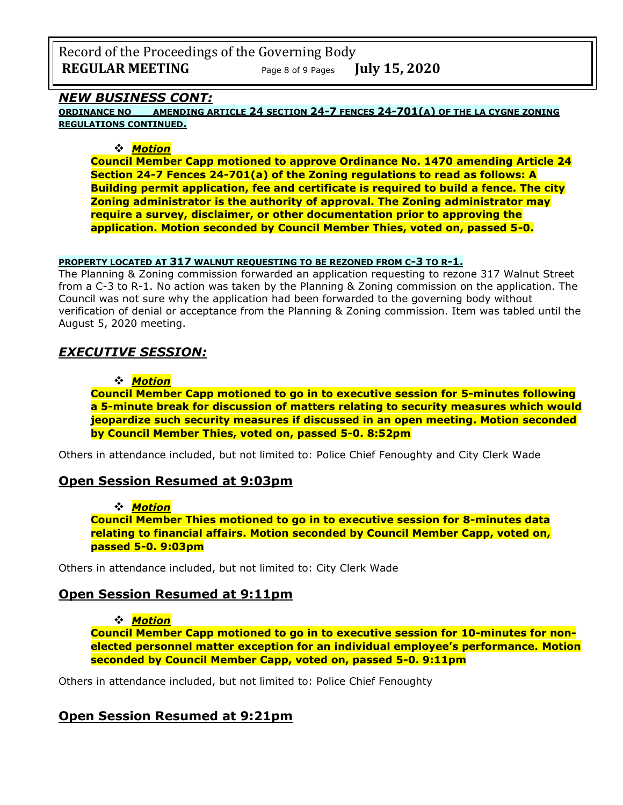Record of the Proceedings of the Governing Body **REGULAR MEETING** Page <sup>8</sup> of 9 Pages **July 15, 2020**

### *NEW BUSINESS CONT:*

**ORDINANCE NO\_\_\_AMENDING ARTICLE 24 SECTION 24-7 FENCES 24-701(A) OF THE LA CYGNE ZONING REGULATIONS CONTINUED.**

### ❖ *Motion*

**Council Member Capp motioned to approve Ordinance No. 1470 amending Article 24 Section 24-7 Fences 24-701(a) of the Zoning regulations to read as follows: A Building permit application, fee and certificate is required to build a fence. The city Zoning administrator is the authority of approval. The Zoning administrator may require a survey, disclaimer, or other documentation prior to approving the application. Motion seconded by Council Member Thies, voted on, passed 5-0.** 

#### **PROPERTY LOCATED AT 317 WALNUT REQUESTING TO BE REZONED FROM C-3 TO R-1.**

The Planning & Zoning commission forwarded an application requesting to rezone 317 Walnut Street from a C-3 to R-1. No action was taken by the Planning & Zoning commission on the application. The Council was not sure why the application had been forwarded to the governing body without verification of denial or acceptance from the Planning & Zoning commission. Item was tabled until the August 5, 2020 meeting.

## *EXECUTIVE SESSION:*

### ❖ *Motion*

**Council Member Capp motioned to go in to executive session for 5-minutes following a 5-minute break for discussion of matters relating to security measures which would jeopardize such security measures if discussed in an open meeting. Motion seconded by Council Member Thies, voted on, passed 5-0. 8:52pm** 

Others in attendance included, but not limited to: Police Chief Fenoughty and City Clerk Wade

### **Open Session Resumed at 9:03pm**

#### ❖ *Motion*

**Council Member Thies motioned to go in to executive session for 8-minutes data relating to financial affairs. Motion seconded by Council Member Capp, voted on, passed 5-0. 9:03pm** 

Others in attendance included, but not limited to: City Clerk Wade

## **Open Session Resumed at 9:11pm**

❖ *Motion* 

**Council Member Capp motioned to go in to executive session for 10-minutes for nonelected personnel matter exception for an individual employee's performance. Motion seconded by Council Member Capp, voted on, passed 5-0. 9:11pm** 

Others in attendance included, but not limited to: Police Chief Fenoughty

# **Open Session Resumed at 9:21pm**